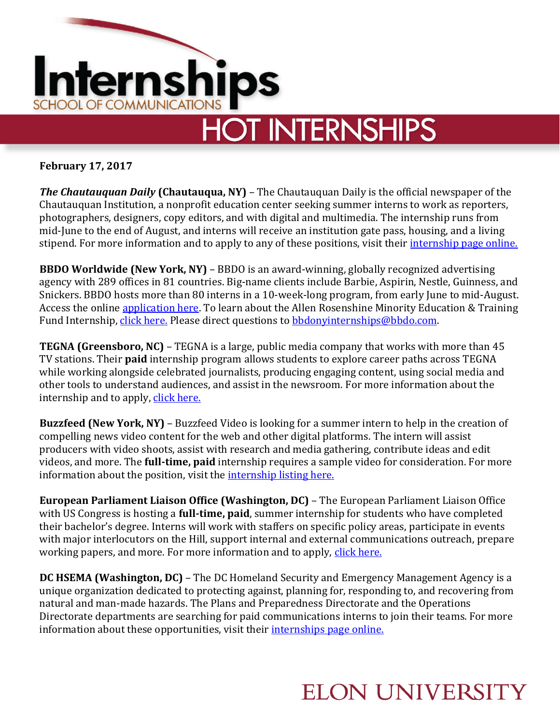

**February 17, 2017**

*The Chautauquan Daily* **(Chautauqua, NY)** – The Chautauquan Daily is the official newspaper of the Chautauquan Institution, a nonprofit education center seeking summer interns to work as reporters, photographers, designers, copy editors, and with digital and multimedia. The internship runs from mid-June to the end of August, and interns will receive an institution gate pass, housing, and a living stipend. For more information and to apply to any of these positions, visit their *internship page online*.

**BBDO Worldwide (New York, NY)** – BBDO is an award-winning, globally recognized advertising agency with 289 offices in 81 countries. Big-name clients include Barbie, Aspirin, Nestle, Guinness, and Snickers. BBDO hosts more than 80 interns in a 10-week-long program, from early June to mid-August. Access the online [application here.](https://workatbbdo.recruiterbox.com/jobs/fk0mjon/) To learn about the Allen Rosenshine Minority Education & Training Fund Internship, [click here.](https://workatbbdo.recruiterbox.com/jobs/fk0mssb/) Please direct questions to [bbdonyinternships@bbdo.com.](mailto:bbdonyinternships@bbdo.com)

**TEGNA (Greensboro, NC)** – TEGNA is a large, public media company that works with more than 45 TV stations. Their **paid** internship program allows students to explore career paths across TEGNA while working alongside celebrated journalists, producing engaging content, using social media and other tools to understand audiences, and assist in the newsroom. For more information about the internship and to apply, [click here.](http://www.jobs.net/jobs/tegna/en-us/job/United-States/News-Intern/J3H4DC6LJGKD1HRYSBZ/?idpartenaire=10101)

**Buzzfeed (New York, NY)** – Buzzfeed Video is looking for a summer intern to help in the creation of compelling news video content for the web and other digital platforms. The intern will assist producers with video shoots, assist with research and media gathering, contribute ideas and edit videos, and more. The **full-time, paid** internship requires a sample video for consideration. For more information about the position, visit the [internship listing here.](https://boards.greenhouse.io/buzzfeedinterns/jobs/574315#.WKcWb_I2d1L)

**European Parliament Liaison Office (Washington, DC)** – The European Parliament Liaison Office with US Congress is hosting a **full-time, paid**, summer internship for students who have completed their bachelor's degree. Interns will work with staffers on specific policy areas, participate in events with major interlocutors on the Hill, support internal and external communications outreach, prepare working papers, and more. For more information and to apply, [click here.](http://www.europarl.europa.eu/us/en/home/internships.html)

**DC HSEMA (Washington, DC)** – The DC Homeland Security and Emergency Management Agency is a unique organization dedicated to protecting against, planning for, responding to, and recovering from natural and man-made hazards. The Plans and Preparedness Directorate and the Operations Directorate departments are searching for paid communications interns to join their teams. For more information about these opportunities, visit their [internships page online.](https://hsema.dc.gov/service/hsema-internship-program)

## **ELON UNIVERSITY**